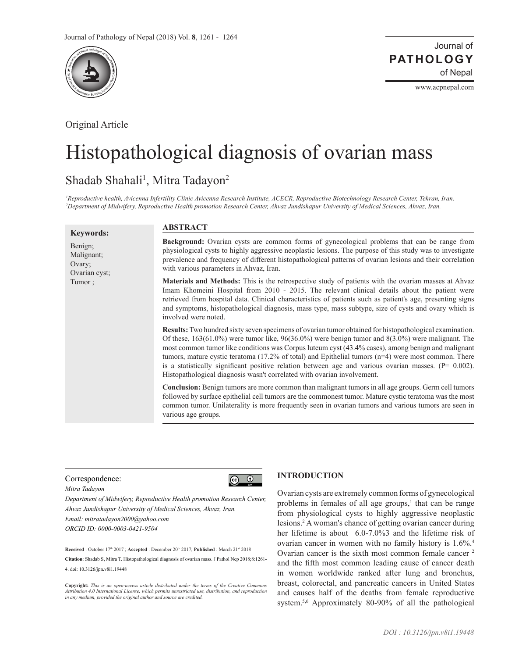

Original Article

Journal of of Nepal **PATHOLOGY**

www.acpnepal.com

# Histopathological diagnosis of ovarian mass

# Shadab Shahali<sup>1</sup>, Mitra Tadayon<sup>2</sup>

*1 Reproductive health, Avicenna Infertility Clinic Avicenna Research Institute, ACECR, Reproductive Biotechnology Research Center, Tehran, Iran. 2 Department of Midwifery, Reproductive Health promotion Research Center, Ahvaz Jundishapur University of Medical Sciences, Ahvaz, Iran.*

| <b>Keywords:</b>                                           | <b>ABSTRACT</b>                                                                                                                                                                                                                                                                                                                                                                                                                                                                                                                                                                                                                 |
|------------------------------------------------------------|---------------------------------------------------------------------------------------------------------------------------------------------------------------------------------------------------------------------------------------------------------------------------------------------------------------------------------------------------------------------------------------------------------------------------------------------------------------------------------------------------------------------------------------------------------------------------------------------------------------------------------|
| Benign;<br>Malignant;<br>Ovary;<br>Ovarian cyst;<br>Tumor; | <b>Background:</b> Ovarian cysts are common forms of gynecological problems that can be range from<br>physiological cysts to highly aggressive neoplastic lesions. The purpose of this study was to investigate<br>prevalence and frequency of different histopathological patterns of ovarian lesions and their correlation<br>with various parameters in Ahvaz, Iran.                                                                                                                                                                                                                                                         |
|                                                            | <b>Materials and Methods:</b> This is the retrospective study of patients with the ovarian masses at Ahvaz<br>Imam Khomeini Hospital from 2010 - 2015. The relevant clinical details about the patient were<br>retrieved from hospital data. Clinical characteristics of patients such as patient's age, presenting signs<br>and symptoms, histopathological diagnosis, mass type, mass subtype, size of cysts and ovary which is<br>involved were noted.                                                                                                                                                                       |
|                                                            | <b>Results:</b> Two hundred sixty seven specimens of ovarian tumor obtained for histopathological examination.<br>Of these, $163(61.0%)$ were tumor like, $96(36.0%)$ were benign tumor and $8(3.0%)$ were malignant. The<br>most common tumor like conditions was Corpus luteum cyst (43.4% cases), among benign and malignant<br>tumors, mature cystic teratoma (17.2% of total) and Epithelial tumors $(n=4)$ were most common. There<br>is a statistically significant positive relation between age and various ovarian masses. $(P = 0.002)$ .<br>Histopathological diagnosis wasn't correlated with ovarian involvement. |
|                                                            | <b>Conclusion:</b> Benign tumors are more common than malignant tumors in all age groups. Germ cell tumors<br>followed by surface epithelial cell tumors are the commonest tumor. Mature cystic teratoma was the most<br>common tumor. Unilaterality is more frequently seen in ovarian tumors and various tumors are seen in<br>various age groups.                                                                                                                                                                                                                                                                            |

## Correspondence:



*Mitra Tadayon*

*Department of Midwifery, Reproductive Health promotion Research Center, Ahvaz Jundishapur University of Medical Sciences, Ahvaz, Iran. Email: mitratadayon2000@yahoo.com ORCID ID: 0000-0003-0421-9504*

**Received** : October 17<sup>th</sup> 2017 **: Accepted** : December 20<sup>th</sup> 2017; **Published** : March 21<sup>st</sup> 2018

**Citation**: Shadab S, Mitra T. Histopathological diagnosis of ovarian mass. J Pathol Nep 2018;8:1261- 4. doi: 10.3126/jpn.v8i1.19448

**Copyright:** *This is an open-access article distributed under the terms of the Creative Commons*  Attribution 4.0 International License, which permits unrestricted use, distribution, and reproduction<br>in any medium, provided the original author and source are credited.

# **INTRODUCTION**

Ovarian cysts are extremely common forms of gynecological problems in females of all age groups, $<sup>1</sup>$  that can be range</sup> from physiological cysts to highly aggressive neoplastic lesions.2 A woman's chance of getting ovarian cancer during her lifetime is about 6.0-7.0%3 and the lifetime risk of ovarian cancer in women with no family history is 1.6%.4 Ovarian cancer is the sixth most common female cancer <sup>2</sup> and the fifth most common leading cause of cancer death in women worldwide ranked after lung and bronchus, breast, colorectal, and pancreatic cancers in United States and causes half of the deaths from female reproductive system.<sup>5,6</sup> Approximately 80-90% of all the pathological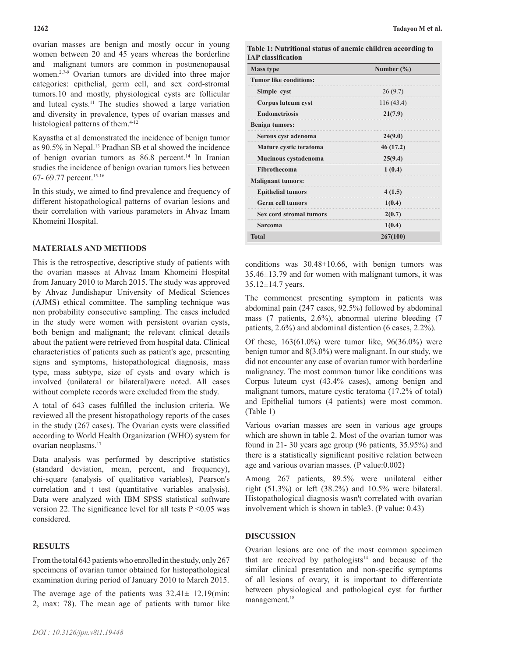ovarian masses are benign and mostly occur in young women between 20 and 45 years whereas the borderline and malignant tumors are common in postmenopausal women.<sup>2,7-9</sup> Ovarian tumors are divided into three major categories: epithelial, germ cell, and sex cord-stromal tumors.10 and mostly, physiological cysts are follicular and luteal cysts.11 The studies showed a large variation and diversity in prevalence, types of ovarian masses and histological patterns of them.<sup>4-12</sup>

Kayastha et al demonstrated the incidence of benign tumor as 90.5% in Nepal.13 Pradhan SB et al showed the incidence of benign ovarian tumors as 86.8 percent.<sup>14</sup> In Iranian studies the incidence of benign ovarian tumors lies between 67- 69.77 percent.15-16

In this study, we aimed to find prevalence and frequency of different histopathological patterns of ovarian lesions and their correlation with various parameters in Ahvaz Imam Khomeini Hospital.

#### **MATERIALS AND METHODS**

This is the retrospective, descriptive study of patients with the ovarian masses at Ahvaz Imam Khomeini Hospital from January 2010 to March 2015. The study was approved by Ahvaz Jundishapur University of Medical Sciences (AJMS) ethical committee. The sampling technique was non probability consecutive sampling. The cases included in the study were women with persistent ovarian cysts, both benign and malignant; the relevant clinical details about the patient were retrieved from hospital data. Clinical characteristics of patients such as patient's age, presenting signs and symptoms, histopathological diagnosis, mass type, mass subtype, size of cysts and ovary which is involved (unilateral or bilateral)were noted. All cases without complete records were excluded from the study.

A total of 643 cases fulfilled the inclusion criteria. We reviewed all the present histopathology reports of the cases in the study (267 cases). The Ovarian cysts were classified according to World Health Organization (WHO) system for ovarian neoplasms.17

Data analysis was performed by descriptive statistics (standard deviation, mean, percent, and frequency), chi-square (analysis of qualitative variables), Pearson's correlation and t test (quantitative variables analysis). Data were analyzed with IBM SPSS statistical software version 22. The significance level for all tests  $P \le 0.05$  was considered.

### **RESULTS**

From the total 643 patients who enrolled in the study, only 267 specimens of ovarian tumor obtained for histopathological examination during period of January 2010 to March 2015.

The average age of the patients was  $32.41 \pm 12.19$ (min: 2, max: 78). The mean age of patients with tumor like

| <b>Mass type</b>              | Number $(\% )$ |
|-------------------------------|----------------|
| <b>Tumor like conditions:</b> |                |
| Simple cyst                   | 26(9.7)        |
| Corpus luteum cyst            | 116 (43.4)     |
| <b>Endometriosis</b>          | 21(7.9)        |
| <b>Benign tumors:</b>         |                |
| Serous cyst adenoma           | 24(9.0)        |
| Mature cystic teratoma        | 46 (17.2)      |
| Mucinous cystadenoma          | 25(9.4)        |
| Fibrothecoma                  | 1(0.4)         |
| <b>Malignant tumors:</b>      |                |
| <b>Epithelial tumors</b>      | 4(1.5)         |
| <b>Germ cell tumors</b>       | 1(0.4)         |
| Sex cord stromal tumors       | 2(0.7)         |
| Sarcoma                       | 1(0.4)         |
| <b>Total</b>                  | 267(100)       |

conditions was 30.48±10.66, with benign tumors was 35.46±13.79 and for women with malignant tumors, it was 35.12±14.7 years.

The commonest presenting symptom in patients was abdominal pain (247 cases, 92.5%) followed by abdominal mass (7 patients, 2.6%), abnormal uterine bleeding (7 patients, 2.6%) and abdominal distention (6 cases, 2.2%).

Of these, 163(61.0%) were tumor like, 96(36.0%) were benign tumor and 8(3.0%) were malignant. In our study, we did not encounter any case of ovarian tumor with borderline malignancy. The most common tumor like conditions was Corpus luteum cyst (43.4% cases), among benign and malignant tumors, mature cystic teratoma (17.2% of total) and Epithelial tumors (4 patients) were most common. (Table 1)

Various ovarian masses are seen in various age groups which are shown in table 2. Most of the ovarian tumor was found in 21- 30 years age group (96 patients, 35.95%) and there is a statistically significant positive relation between age and various ovarian masses. (P value:0.002)

Among 267 patients, 89.5% were unilateral either right (51.3%) or left (38.2%) and 10.5% were bilateral. Histopathological diagnosis wasn't correlated with ovarian involvement which is shown in table3. (P value: 0.43)

#### **DISCUSSION**

Ovarian lesions are one of the most common specimen that are received by pathologists $14$  and because of the similar clinical presentation and non-specific symptoms of all lesions of ovary, it is important to differentiate between physiological and pathological cyst for further management.<sup>18</sup>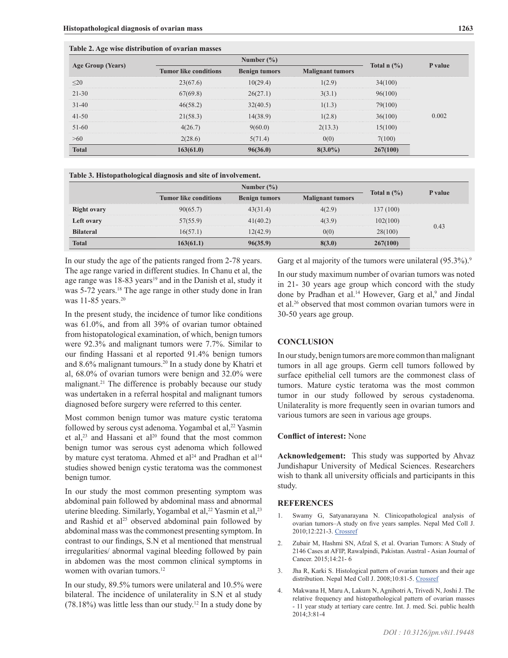**Table 2. Age wise distribution of ovarian masses**

| Age Group (Years) |                              | Total $n$ $\left(\frac{9}{6}\right)$ | P value                 |          |       |
|-------------------|------------------------------|--------------------------------------|-------------------------|----------|-------|
|                   | <b>Tumor like conditions</b> | <b>Benign tumors</b>                 | <b>Malignant tumors</b> |          |       |
| $\leq$ 20         | 23(67.6)                     | 10(29.4)                             | 1(2.9)                  | 34(100)  |       |
| $21 - 30$         | 67(69.8)                     | 26(27.1)                             | 3(3.1)                  | 96(100)  |       |
| $31 - 40$         | 46(58.2)                     | 32(40.5)                             | 1(1.3)                  | 79(100)  |       |
| $41 - 50$         | 21(58.3)                     | 14(38.9)                             | 1(2.8)                  | 36(100)  | 0.002 |
| $51-60$           | 4(26.7)                      | 9(60.0)                              | 2(13.3)                 | 15(100)  |       |
| >60               | 2(28.6)                      | 5(71.4)                              | 0(0)                    | 7(100)   |       |
| <b>Total</b>      | 163(61.0)                    | 96(36.0)                             | $8(3.0\%)$              | 267(100) |       |

|  |  | Table 3. Histopathological diagnosis and site of involvement. |
|--|--|---------------------------------------------------------------|
|  |  |                                                               |

|                    | Number $(\% )$               |                      |                         |               |         |
|--------------------|------------------------------|----------------------|-------------------------|---------------|---------|
|                    | <b>Tumor like conditions</b> | <b>Benign tumors</b> | <b>Malignant tumors</b> | Total $n$ (%) | P value |
| <b>Right ovary</b> | 90(65.7)                     | 43(31.4)             | 4(2.9)                  | 137 (100)     |         |
| Left ovary         | 57(55.9)                     | 41(40.2)             | 4(3.9)                  | 102(100)      | 0.43    |
| <b>Bilateral</b>   | 16(57.1)                     | 12(42.9)             | 0(0)                    | 28(100)       |         |
| <b>Total</b>       | 163(61.1)                    | 96(35.9)             | 8(3.0)                  | 267(100)      |         |

In our study the age of the patients ranged from 2-78 years. The age range varied in different studies. In Chanu et al, the age range was 18-83 years<sup>19</sup> and in the Danish et al, study it was 5-72 years.<sup>18</sup> The age range in other study done in Iran was 11-85 years.<sup>20</sup>

In the present study, the incidence of tumor like conditions was 61.0%, and from all 39% of ovarian tumor obtained from histopatological examination, of which, benign tumors were 92.3% and malignant tumors were 7.7%. Similar to our finding Hassani et al reported 91.4% benign tumors and 8.6% malignant tumours.20 In a study done by Khatri et al, 68.0% of ovarian tumors were benign and 32.0% were malignant.21 The difference is probably because our study was undertaken in a referral hospital and malignant tumors diagnosed before surgery were referred to this center.

Most common benign tumor was mature cystic teratoma followed by serous cyst adenoma. Yogambal et al,<sup>22</sup> Yasmin et al,<sup>23</sup> and Hassani et al<sup>20</sup> found that the most common benign tumor was serous cyst adenoma which followed by mature cyst teratoma. Ahmed et al<sup>24</sup> and Pradhan et al<sup>14</sup> studies showed benign cystic teratoma was the commonest benign tumor.

In our study the most common presenting symptom was abdominal pain followed by abdominal mass and abnormal uterine bleeding. Similarly, Yogambal et al,<sup>22</sup> Yasmin et al,<sup>23</sup> and Rashid et al<sup>25</sup> observed abdominal pain followed by abdominal mass was the commonest presenting symptom. In contrast to our findings, S.N et al mentioned that menstrual irregularities/ abnormal vaginal bleeding followed by pain in abdomen was the most common clinical symptoms in women with ovarian tumors.<sup>12</sup>

In our study, 89.5% tumors were unilateral and 10.5% were bilateral. The incidence of unilaterality in S.N et al study (78.18%) was little less than our study.12 In a study done by

Garg et al majority of the tumors were unilateral (95.3%).<sup>9</sup>

In our study maximum number of ovarian tumors was noted in 21- 30 years age group which concord with the study done by Pradhan et al.<sup>14</sup> However, Garg et al,<sup>9</sup> and Jindal et al.26 observed that most common ovarian tumors were in 30-50 years age group.

## **CONCLUSION**

In our study, benign tumors are more common than malignant tumors in all age groups. Germ cell tumors followed by surface epithelial cell tumors are the commonest class of tumors. Mature cystic teratoma was the most common tumor in our study followed by serous cystadenoma. Unilaterality is more frequently seen in ovarian tumors and various tumors are seen in various age groups.

## **Conflict of interest:** None

**Acknowledgement:** This study was supported by Ahvaz Jundishapur University of Medical Sciences. Researchers wish to thank all university officials and participants in this study.

#### **REFERENCES**

- Swamy G, Satyanarayana N. Clinicopathological analysis of ovarian tumors–A study on five years samples. Nepal Med Coll J. 2010;12:221-3. [Crossref](PMid:21744762)
- 2. Zubair M, Hashmi SN, Afzal S, et al. Ovarian Tumors: A Study of 2146 Cases at AFIP, Rawalpindi, Pakistan. Austral - Asian Journal of Cancer. 2015;14:21- 6
- 3. Jha R, Karki S. Histological pattern of ovarian tumors and their age distribution. Nepal Med Coll J. 2008;10:81-5. [Crossref](PMid:18828427)
- 4. Makwana H, Maru A, Lakum N, Agnihotri A, Trivedi N, Joshi J. The relative frequency and histopathological pattern of ovarian masses - 11 year study at tertiary care centre. Int. J. med. Sci. public health 2014;3:81-4